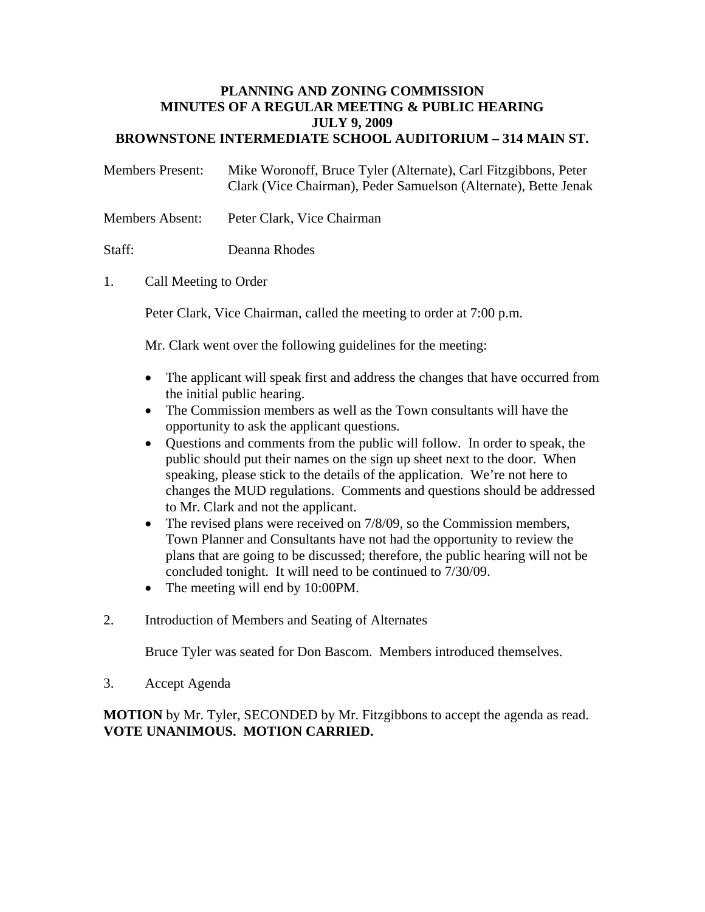#### **PLANNING AND ZONING COMMISSION MINUTES OF A REGULAR MEETING & PUBLIC HEARING JULY 9, 2009 BROWNSTONE INTERMEDIATE SCHOOL AUDITORIUM – 314 MAIN ST.**

| <b>Members Present:</b> | Mike Woronoff, Bruce Tyler (Alternate), Carl Fitzgibbons, Peter |
|-------------------------|-----------------------------------------------------------------|
|                         | Clark (Vice Chairman), Peder Samuelson (Alternate), Bette Jenak |

Members Absent: Peter Clark, Vice Chairman

Staff: Deanna Rhodes

### 1. Call Meeting to Order

Peter Clark, Vice Chairman, called the meeting to order at 7:00 p.m.

Mr. Clark went over the following guidelines for the meeting:

- The applicant will speak first and address the changes that have occurred from the initial public hearing.
- The Commission members as well as the Town consultants will have the opportunity to ask the applicant questions.
- Questions and comments from the public will follow. In order to speak, the public should put their names on the sign up sheet next to the door. When speaking, please stick to the details of the application. We're not here to changes the MUD regulations. Comments and questions should be addressed to Mr. Clark and not the applicant.
- The revised plans were received on 7/8/09, so the Commission members, Town Planner and Consultants have not had the opportunity to review the plans that are going to be discussed; therefore, the public hearing will not be concluded tonight. It will need to be continued to 7/30/09.
- The meeting will end by 10:00PM.
- 2. Introduction of Members and Seating of Alternates

Bruce Tyler was seated for Don Bascom. Members introduced themselves.

3. Accept Agenda

**MOTION** by Mr. Tyler, SECONDED by Mr. Fitzgibbons to accept the agenda as read. **VOTE UNANIMOUS. MOTION CARRIED.**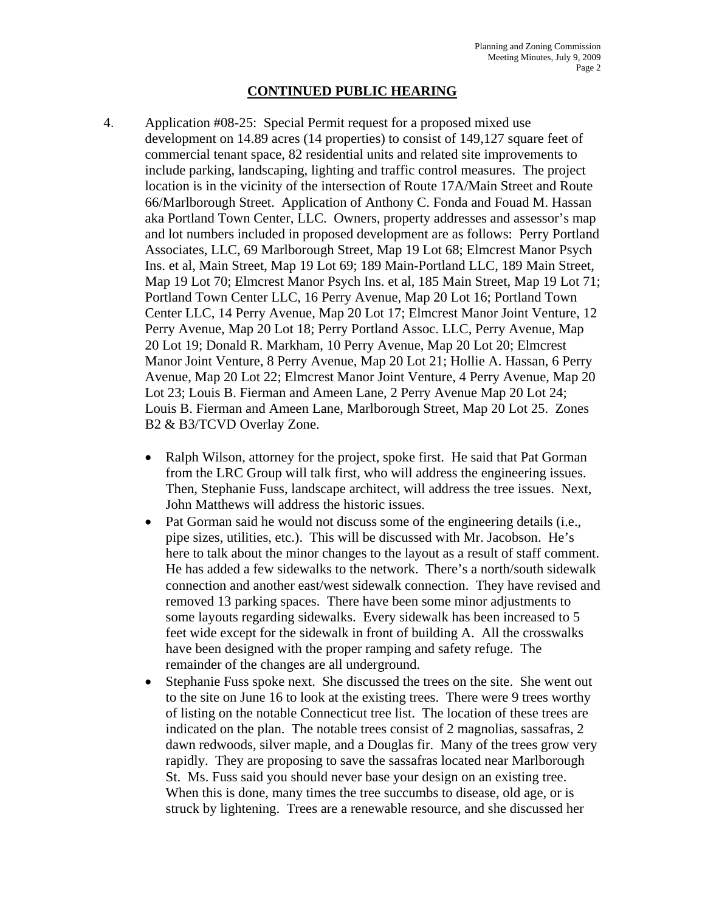### **CONTINUED PUBLIC HEARING**

- 4. Application #08-25: Special Permit request for a proposed mixed use development on 14.89 acres (14 properties) to consist of 149,127 square feet of commercial tenant space, 82 residential units and related site improvements to include parking, landscaping, lighting and traffic control measures. The project location is in the vicinity of the intersection of Route 17A/Main Street and Route 66/Marlborough Street. Application of Anthony C. Fonda and Fouad M. Hassan aka Portland Town Center, LLC. Owners, property addresses and assessor's map and lot numbers included in proposed development are as follows: Perry Portland Associates, LLC, 69 Marlborough Street, Map 19 Lot 68; Elmcrest Manor Psych Ins. et al, Main Street, Map 19 Lot 69; 189 Main-Portland LLC, 189 Main Street, Map 19 Lot 70; Elmcrest Manor Psych Ins. et al, 185 Main Street, Map 19 Lot 71; Portland Town Center LLC, 16 Perry Avenue, Map 20 Lot 16; Portland Town Center LLC, 14 Perry Avenue, Map 20 Lot 17; Elmcrest Manor Joint Venture, 12 Perry Avenue, Map 20 Lot 18; Perry Portland Assoc. LLC, Perry Avenue, Map 20 Lot 19; Donald R. Markham, 10 Perry Avenue, Map 20 Lot 20; Elmcrest Manor Joint Venture, 8 Perry Avenue, Map 20 Lot 21; Hollie A. Hassan, 6 Perry Avenue, Map 20 Lot 22; Elmcrest Manor Joint Venture, 4 Perry Avenue, Map 20 Lot 23; Louis B. Fierman and Ameen Lane, 2 Perry Avenue Map 20 Lot 24; Louis B. Fierman and Ameen Lane, Marlborough Street, Map 20 Lot 25. Zones B2 & B3/TCVD Overlay Zone.
	- Ralph Wilson, attorney for the project, spoke first. He said that Pat Gorman from the LRC Group will talk first, who will address the engineering issues. Then, Stephanie Fuss, landscape architect, will address the tree issues. Next, John Matthews will address the historic issues.
	- Pat Gorman said he would not discuss some of the engineering details (i.e., pipe sizes, utilities, etc.). This will be discussed with Mr. Jacobson. He's here to talk about the minor changes to the layout as a result of staff comment. He has added a few sidewalks to the network. There's a north/south sidewalk connection and another east/west sidewalk connection. They have revised and removed 13 parking spaces. There have been some minor adjustments to some layouts regarding sidewalks. Every sidewalk has been increased to 5 feet wide except for the sidewalk in front of building A. All the crosswalks have been designed with the proper ramping and safety refuge. The remainder of the changes are all underground.
	- Stephanie Fuss spoke next. She discussed the trees on the site. She went out to the site on June 16 to look at the existing trees. There were 9 trees worthy of listing on the notable Connecticut tree list. The location of these trees are indicated on the plan. The notable trees consist of 2 magnolias, sassafras, 2 dawn redwoods, silver maple, and a Douglas fir. Many of the trees grow very rapidly. They are proposing to save the sassafras located near Marlborough St. Ms. Fuss said you should never base your design on an existing tree. When this is done, many times the tree succumbs to disease, old age, or is struck by lightening. Trees are a renewable resource, and she discussed her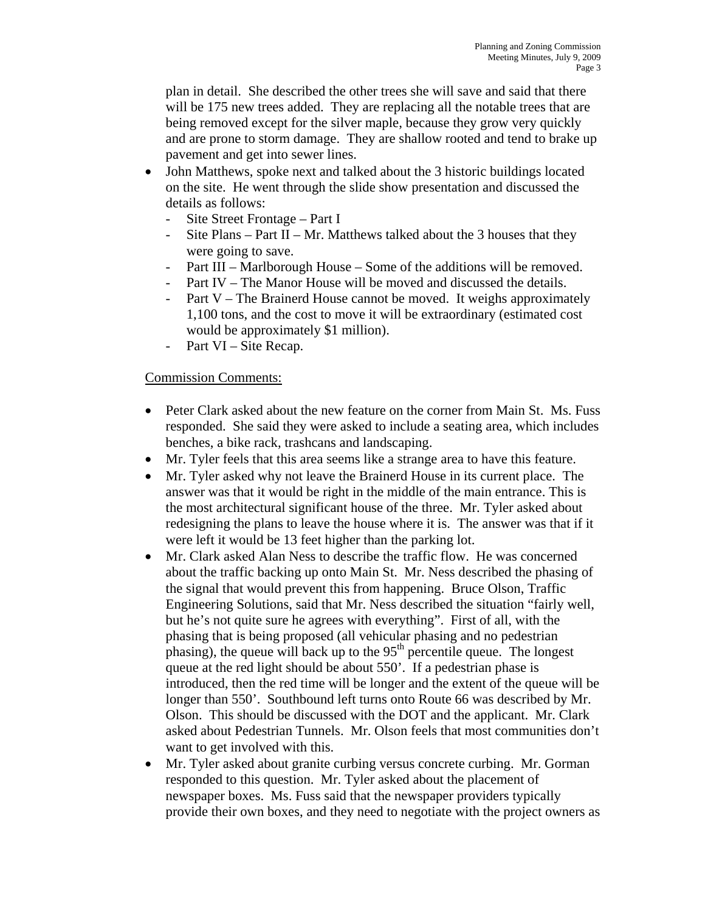plan in detail. She described the other trees she will save and said that there will be 175 new trees added. They are replacing all the notable trees that are being removed except for the silver maple, because they grow very quickly and are prone to storm damage. They are shallow rooted and tend to brake up pavement and get into sewer lines.

- John Matthews, spoke next and talked about the 3 historic buildings located on the site. He went through the slide show presentation and discussed the details as follows:
	- Site Street Frontage Part I
	- Site Plans Part II Mr. Matthews talked about the 3 houses that they were going to save.
	- Part III Marlborough House Some of the additions will be removed.
	- Part IV The Manor House will be moved and discussed the details.
	- Part  $V$  The Brainerd House cannot be moved. It weighs approximately 1,100 tons, and the cost to move it will be extraordinary (estimated cost would be approximately \$1 million).
	- Part VI Site Recap.

### Commission Comments:

- Peter Clark asked about the new feature on the corner from Main St. Ms. Fuss responded. She said they were asked to include a seating area, which includes benches, a bike rack, trashcans and landscaping.
- Mr. Tyler feels that this area seems like a strange area to have this feature.
- Mr. Tyler asked why not leave the Brainerd House in its current place. The answer was that it would be right in the middle of the main entrance. This is the most architectural significant house of the three. Mr. Tyler asked about redesigning the plans to leave the house where it is. The answer was that if it were left it would be 13 feet higher than the parking lot.
- Mr. Clark asked Alan Ness to describe the traffic flow. He was concerned about the traffic backing up onto Main St. Mr. Ness described the phasing of the signal that would prevent this from happening. Bruce Olson, Traffic Engineering Solutions, said that Mr. Ness described the situation "fairly well, but he's not quite sure he agrees with everything". First of all, with the phasing that is being proposed (all vehicular phasing and no pedestrian phasing), the queue will back up to the  $95<sup>th</sup>$  percentile queue. The longest queue at the red light should be about 550'. If a pedestrian phase is introduced, then the red time will be longer and the extent of the queue will be longer than 550'. Southbound left turns onto Route 66 was described by Mr. Olson. This should be discussed with the DOT and the applicant. Mr. Clark asked about Pedestrian Tunnels. Mr. Olson feels that most communities don't want to get involved with this.
- Mr. Tyler asked about granite curbing versus concrete curbing. Mr. Gorman responded to this question. Mr. Tyler asked about the placement of newspaper boxes. Ms. Fuss said that the newspaper providers typically provide their own boxes, and they need to negotiate with the project owners as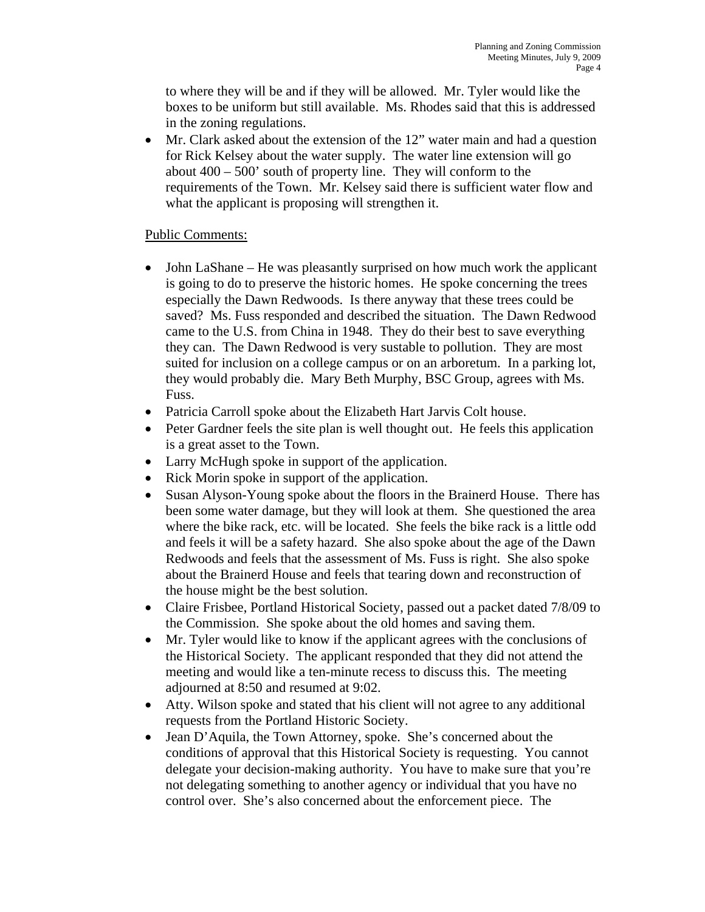to where they will be and if they will be allowed. Mr. Tyler would like the boxes to be uniform but still available. Ms. Rhodes said that this is addressed in the zoning regulations.

• Mr. Clark asked about the extension of the 12" water main and had a question for Rick Kelsey about the water supply. The water line extension will go about 400 – 500' south of property line. They will conform to the requirements of the Town. Mr. Kelsey said there is sufficient water flow and what the applicant is proposing will strengthen it.

# Public Comments:

- John LaShane He was pleasantly surprised on how much work the applicant is going to do to preserve the historic homes. He spoke concerning the trees especially the Dawn Redwoods. Is there anyway that these trees could be saved? Ms. Fuss responded and described the situation. The Dawn Redwood came to the U.S. from China in 1948. They do their best to save everything they can. The Dawn Redwood is very sustable to pollution. They are most suited for inclusion on a college campus or on an arboretum. In a parking lot, they would probably die. Mary Beth Murphy, BSC Group, agrees with Ms. Fuss.
- Patricia Carroll spoke about the Elizabeth Hart Jarvis Colt house.
- Peter Gardner feels the site plan is well thought out. He feels this application is a great asset to the Town.
- Larry McHugh spoke in support of the application.
- Rick Morin spoke in support of the application.
- Susan Alyson-Young spoke about the floors in the Brainerd House. There has been some water damage, but they will look at them. She questioned the area where the bike rack, etc. will be located. She feels the bike rack is a little odd and feels it will be a safety hazard. She also spoke about the age of the Dawn Redwoods and feels that the assessment of Ms. Fuss is right. She also spoke about the Brainerd House and feels that tearing down and reconstruction of the house might be the best solution.
- Claire Frisbee, Portland Historical Society, passed out a packet dated 7/8/09 to the Commission. She spoke about the old homes and saving them.
- Mr. Tyler would like to know if the applicant agrees with the conclusions of the Historical Society. The applicant responded that they did not attend the meeting and would like a ten-minute recess to discuss this. The meeting adjourned at 8:50 and resumed at 9:02.
- Atty. Wilson spoke and stated that his client will not agree to any additional requests from the Portland Historic Society.
- Jean D'Aquila, the Town Attorney, spoke. She's concerned about the conditions of approval that this Historical Society is requesting. You cannot delegate your decision-making authority. You have to make sure that you're not delegating something to another agency or individual that you have no control over. She's also concerned about the enforcement piece. The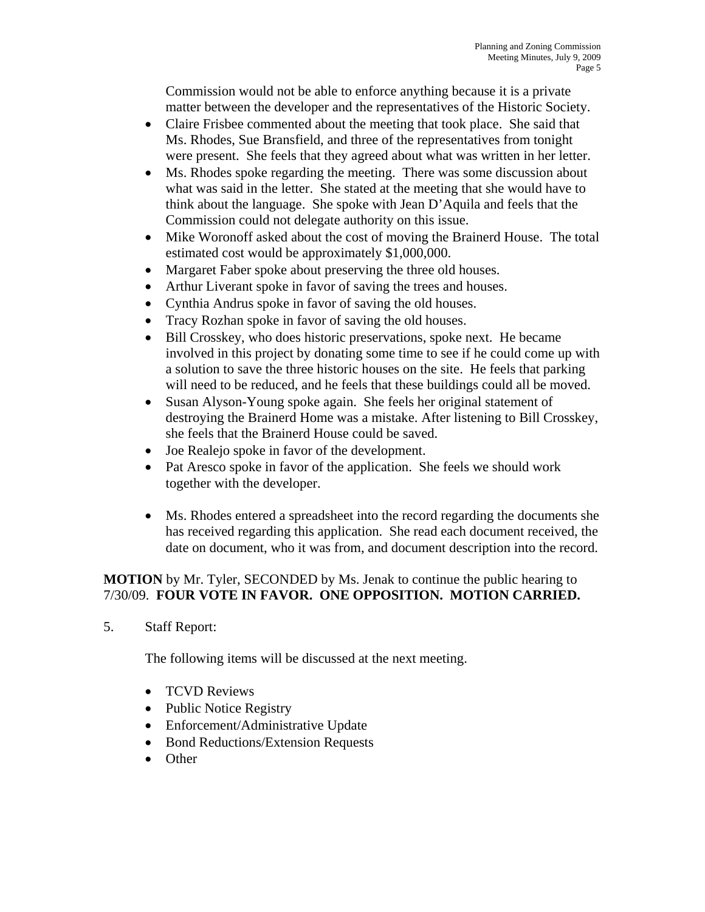Commission would not be able to enforce anything because it is a private matter between the developer and the representatives of the Historic Society.

- Claire Frisbee commented about the meeting that took place. She said that Ms. Rhodes, Sue Bransfield, and three of the representatives from tonight were present. She feels that they agreed about what was written in her letter.
- Ms. Rhodes spoke regarding the meeting. There was some discussion about what was said in the letter. She stated at the meeting that she would have to think about the language. She spoke with Jean D'Aquila and feels that the Commission could not delegate authority on this issue.
- Mike Woronoff asked about the cost of moving the Brainerd House. The total estimated cost would be approximately \$1,000,000.
- Margaret Faber spoke about preserving the three old houses.
- Arthur Liverant spoke in favor of saving the trees and houses.
- Cynthia Andrus spoke in favor of saving the old houses.
- Tracy Rozhan spoke in favor of saving the old houses.
- Bill Crosskey, who does historic preservations, spoke next. He became involved in this project by donating some time to see if he could come up with a solution to save the three historic houses on the site. He feels that parking will need to be reduced, and he feels that these buildings could all be moved.
- Susan Alyson-Young spoke again. She feels her original statement of destroying the Brainerd Home was a mistake. After listening to Bill Crosskey, she feels that the Brainerd House could be saved.
- Joe Realejo spoke in favor of the development.
- Pat Aresco spoke in favor of the application. She feels we should work together with the developer.
- Ms. Rhodes entered a spreadsheet into the record regarding the documents she has received regarding this application. She read each document received, the date on document, who it was from, and document description into the record.

# **MOTION** by Mr. Tyler, SECONDED by Ms. Jenak to continue the public hearing to 7/30/09. **FOUR VOTE IN FAVOR. ONE OPPOSITION. MOTION CARRIED.**

5. Staff Report:

The following items will be discussed at the next meeting.

- TCVD Reviews
- Public Notice Registry
- Enforcement/Administrative Update
- Bond Reductions/Extension Requests
- Other